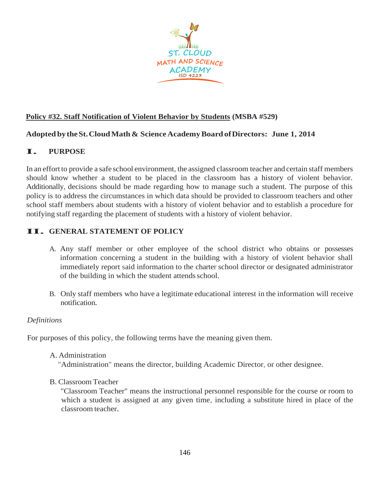

# **Policy #32. Staff Notification of Violent Behavior by Students (MSBA #529)**

### **Adopted bytheSt.CloudMath & ScienceAcademyBoardofDirectors: June 1, 2014**

# **I. PURPOSE**

In an effort to provide a safe school environment, the assigned classroom teacher and certain staff members should know whether a student to be placed in the classroom has a history of violent behavior. Additionally, decisions should be made regarding how to manage such a student. The purpose of this policy is to address the circumstances in which data should be provided to classroom teachers and other school staff members about students with a history of violent behavior and to establish a procedure for notifying staff regarding the placement of students with a history of violent behavior.

# **II. GENERAL STATEMENT OF POLICY**

- A. Any staff member or other employee of the school district who obtains or possesses information concerning a student in the building with a history of violent behavior shall immediately report said information to the charter school director or designated administrator of the building in which the student attends school.
- B. Only staff members who have a legitimate educational interest in the information will receive notification.

### *Definitions*

For purposes of this policy, the following terms have the meaning given them.

A. Administration

"Administration" means the director, building Academic Director, or other designee.

B. Classroom Teacher

"Classroom Teacher" means the instructional personnel responsible for the course or room to which a student is assigned at any given time, including a substitute hired in place of the classroom teacher.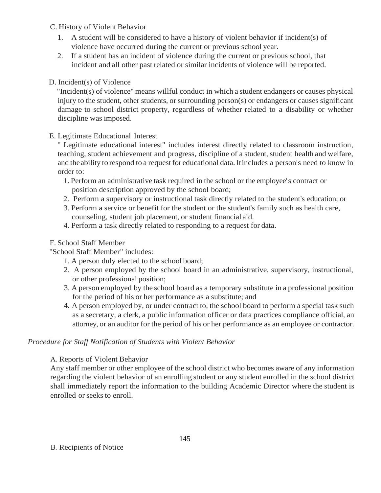### C. History of Violent Behavior

- 1. A student will be considered to have a history of violent behavior if incident(s) of violence have occurred during the current or previous school year.
- 2. If a student has an incident of violence during the current or previous school, that incident and all other past related or similar incidents of violence will be reported.

# D. Incident(s) of Violence

"Incident(s) of violence" means willful conduct in which a student endangers or causes physical injury to the student, other students, or surrounding person(s) or endangers or causes significant damage to school district property, regardless of whether related to a disability or whether discipline was imposed.

# E. Legitimate Educational Interest

" Legitimate educational interest" includes interest directly related to classroom instruction, teaching, student achievement and progress, discipline of a student, student health and welfare, and the ability to respond to a request for educational data. It includes a person's need to know in order to:

- 1. Perform an administrative task required in the school or the employee's contract or position description approved by the school board;
- 2. Perform a supervisory or instructional task directly related to the student's education; or
- 3. Perform a service or benefit for the student or the student's family such as health care, counseling, student job placement, or student financial aid.
- 4. Perform a task directly related to responding to a request for data.

# F. School Staff Member

"School Staff Member" includes:

- 1. A person duly elected to the school board;
- 2. A person employed by the school board in an administrative, supervisory, instructional, or other professional position;
- 3. A person employed by the school board as a temporary substitute in a professional position for the period of his or her performance as a substitute; and
- 4. A person employed by, or under contract to, the school board to perform a special task such as a secretary, a clerk, a public information officer or data practices compliance official, an attorney, or an auditor for the period of his or her performance as an employee or contractor.

# *Procedure for Staff Notification of Students with Violent Behavior*

# A. Reports of Violent Behavior

Any staff member or other employee of the school district who becomes aware of any information regarding the violent behavior of an enrolling student or any student enrolled in the school district shall immediately report the information to the building Academic Director where the student is enrolled orseeks to enroll.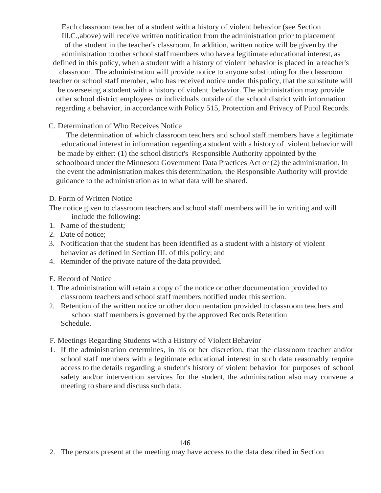Each classroom teacher of a student with a history of violent behavior (see Section Ill.C.,above) will receive written notification from the administration prior to placement of the student in the teacher's classroom. In addition, written notice will be given by the administration to other school staff members who have a legitimate educational interest, as defined in this policy, when a student with a history of violent behavior is placed in a teacher's classroom. The administration will provide notice to anyone substituting for the classroom teacher or school staff member, who has received notice under thispolicy, that the substitute will be overseeing a student with a history of violent behavior. The administration may provide other school district employees or individuals outside of the school district with information regarding a behavior, in accordancewith Policy 515, Protection and Privacy of Pupil Records.

#### C. Determination of Who Receives Notice

The determination of which classroom teachers and school staff members have a legitimate educational interest in information regarding a student with a history of violent behavior will be made by either: (1) the school district's Responsible Authority appointed by the schoolboard under the Minnesota Government Data Practices Act or (2) the administration. In the event the administration makes this determination, the Responsible Authority will provide guidance to the administration as to what data will be shared.

#### D. Form of Written Notice

The notice given to classroom teachers and school staff members will be in writing and will include the following:

- 1. Name of the student;
- 2. Date of notice;
- 3. Notification that the student has been identified as a student with a history of violent behavior as defined in Section III. of this policy; and
- 4. Reminder of the private nature of the data provided.
- E. Record of Notice
- 1. The administration will retain a copy of the notice or other documentation provided to classroom teachers and school staff members notified under this section.
- 2. Retention of the written notice or other documentation provided to classroom teachers and school staff members is governed by the approved Records Retention Schedule.

### F. Meetings Regarding Students with a History of Violent Behavior

1. If the administration determines, in his or her discretion, that the classroom teacher and/or school staff members with a legitimate educational interest in such data reasonably require access to the details regarding a student's history of violent behavior for purposes of school safety and/or intervention services for the student, the administration also may convene a meeting to share and discuss such data.

2. The persons present at the meeting may have access to the data described in Section